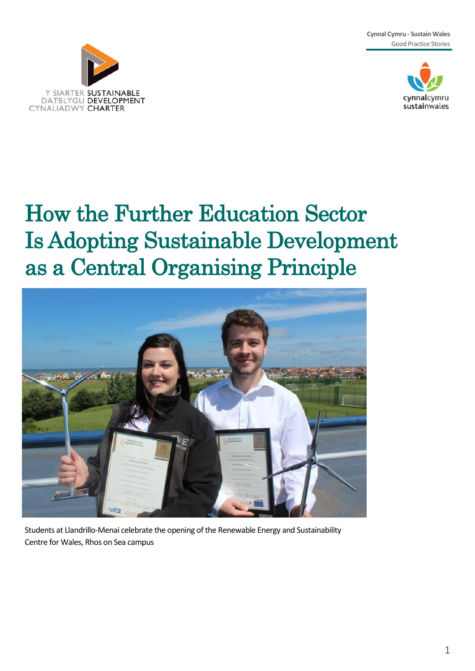**Cynnal Cymru - Sustain Wales** Good Practice Stories





# How the Further Education Sector Is Adopting Sustainable Development as a Central Organising Principle



Students at Llandrillo-Menai celebrate the opening of the Renewable Energy and Sustainability Centre for Wales, Rhos on Sea campus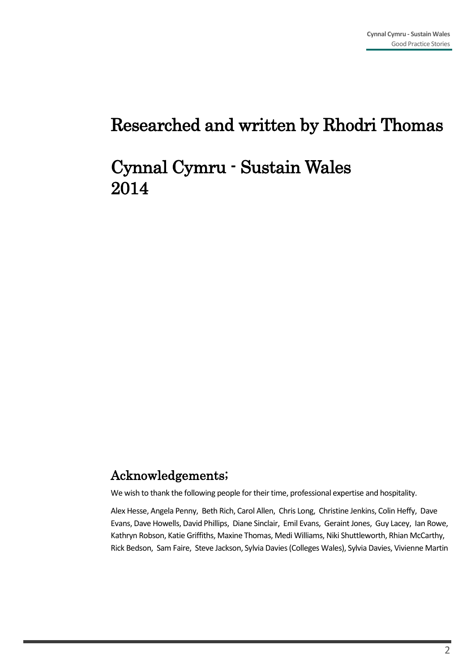### Researched and written by Rhodri Thomas

### Cynnal Cymru - Sustain Wales 2014

#### Acknowledgements;

We wish to thank the following people for their time, professional expertise and hospitality.

Alex Hesse, Angela Penny, Beth Rich, Carol Allen, Chris Long, Christine Jenkins, Colin Heffy, Dave Evans, Dave Howells, David Phillips, Diane Sinclair, Emil Evans, Geraint Jones, Guy Lacey, Ian Rowe, Kathryn Robson, Katie Griffiths, Maxine Thomas, Medi Williams, Niki Shuttleworth, Rhian McCarthy, Rick Bedson, Sam Faire, Steve Jackson, Sylvia Davies (Colleges Wales), Sylvia Davies, Vivienne Martin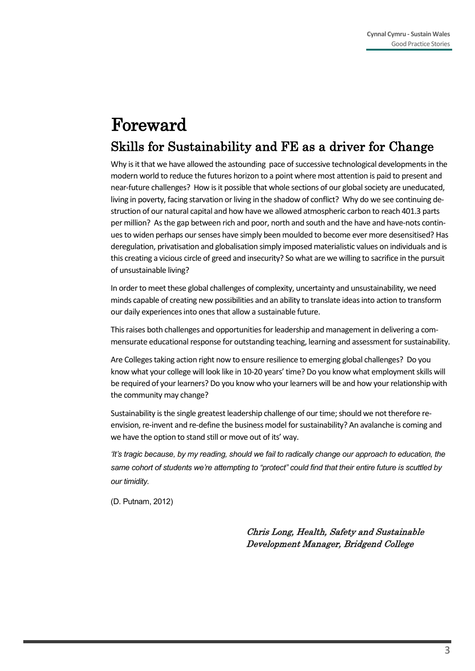### Skills for Sustainability and FE as a driver for Change Foreward

Why is it that we have allowed the astounding pace of successive technological developments in the modern world to reduce the futures horizon to a point where most attention is paid to present and near-future challenges? How is it possible that whole sections of our global society are uneducated, living in poverty, facing starvation or living in the shadow of conflict? Why do we see continuing destruction of our natural capital and how have we allowed atmospheric carbon to reach 401.3 parts per million? As the gap between rich and poor, north and south and the have and have-nots continues to widen perhaps our senses have simply been moulded to become ever more desensitised? Has deregulation, privatisation and globalisation simply imposed materialistic values on individuals and is this creating a vicious circle of greed and insecurity? So what are we willing to sacrifice in the pursuit of unsustainable living?

In order to meet these global challenges of complexity, uncertainty and unsustainability, we need minds capable of creating new possibilities and an ability to translate ideas into action to transform our daily experiences into ones that allow a sustainable future.

This raises both challenges and opportunities for leadership and management in delivering a commensurate educational response for outstanding teaching, learning and assessment for sustainability.

Are Colleges taking action right now to ensure resilience to emerging global challenges? Do you know what your college will look like in 10-20 years' time? Do you know what employment skills will be required of your learners? Do you know who your learners will be and how your relationship with the community may change?

Sustainability is the single greatest leadership challenge of our time; should we not therefore reenvision, re-invent and re-define the business model for sustainability? An avalanche is coming and we have the option to stand still or move out of its' way.

*'It's tragic because, by my reading, should we fail to radically change our approach to education, the same cohort of students we're attempting to "protect" could find that their entire future is scuttled by our timidity.*

(D. Putnam, 2012)

Chris Long, Health, Safety and Sustainable Development Manager, Bridgend College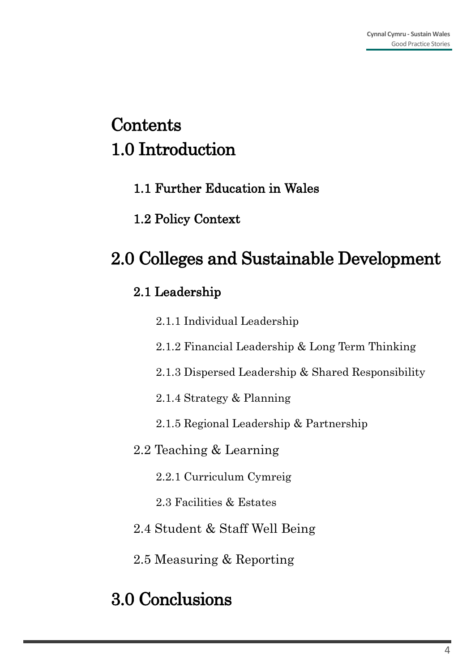# **Contents** 1.0 Introduction

- 1.1 Further Education in Wales
- 1.2 Policy Context

# 2.0 Colleges and Sustainable Development

### 2.1 Leadership

- 2.1.1 Individual Leadership
- 2.1.2 Financial Leadership & Long Term Thinking
- 2.1.3 Dispersed Leadership & Shared Responsibility
- 2.1.4 Strategy & Planning
- 2.1.5 Regional Leadership & Partnership
- 2.2 Teaching & Learning
	- 2.2.1 Curriculum Cymreig
	- 2.3 Facilities & Estates
- 2.4 Student & Staff Well Being
- 2.5 Measuring & Reporting

# 3.0 Conclusions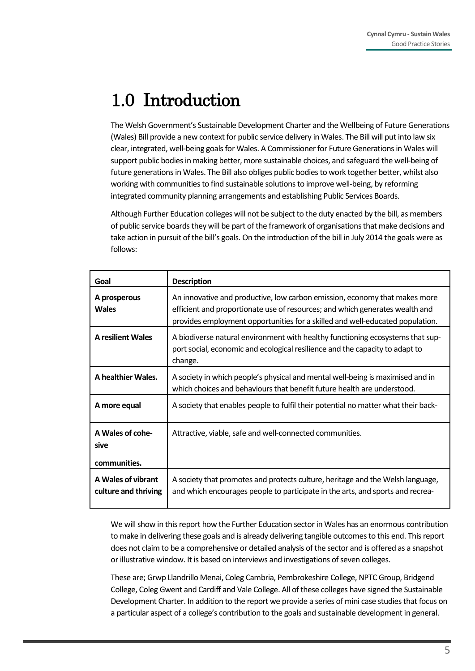# 1.0 Introduction

The Welsh Government's Sustainable Development Charter and the Wellbeing of Future Generations (Wales) Bill provide a new context for public service delivery in Wales. The Bill will put into law six clear, integrated, well-being goals for Wales. A Commissioner for Future Generations in Wales will support public bodies in making better, more sustainable choices, and safeguard the well-being of future generations in Wales. The Bill also obliges public bodies to work together better, whilst also working with communities to find sustainable solutions to improve well-being, by reforming integrated community planning arrangements and establishing Public Services Boards.

Although Further Education colleges will not be subject to the duty enacted by the bill, as members of public service boards they will be part of the framework of organisations that make decisions and take action in pursuit of the bill's goals. On the introduction of the bill in July 2014 the goals were as follows:

| Goal                                       | <b>Description</b>                                                                                                                                                                                                                          |  |
|--------------------------------------------|---------------------------------------------------------------------------------------------------------------------------------------------------------------------------------------------------------------------------------------------|--|
| A prosperous<br><b>Wales</b>               | An innovative and productive, low carbon emission, economy that makes more<br>efficient and proportionate use of resources; and which generates wealth and<br>provides employment opportunities for a skilled and well-educated population. |  |
| <b>A resilient Wales</b>                   | A biodiverse natural environment with healthy functioning ecosystems that sup-<br>port social, economic and ecological resilience and the capacity to adapt to<br>change.                                                                   |  |
| A healthier Wales.                         | A society in which people's physical and mental well-being is maximised and in<br>which choices and behaviours that benefit future health are understood.                                                                                   |  |
| A more equal                               | A society that enables people to fulfil their potential no matter what their back-                                                                                                                                                          |  |
| A Wales of cohe-<br>sive<br>communities.   | Attractive, viable, safe and well-connected communities.                                                                                                                                                                                    |  |
| A Wales of vibrant<br>culture and thriving | A society that promotes and protects culture, heritage and the Welsh language,<br>and which encourages people to participate in the arts, and sports and recrea-                                                                            |  |

We will show in this report how the Further Education sector in Wales has an enormous contribution to make in delivering these goals and is already delivering tangible outcomes to this end. This report does not claim to be a comprehensive or detailed analysis of the sector and is offered as a snapshot or illustrative window. It is based on interviews and investigations of seven colleges.

These are; Grwp Llandrillo Menai, Coleg Cambria, Pembrokeshire College, NPTC Group, Bridgend College, Coleg Gwent and Cardiff and Vale College. All of these colleges have signed the Sustainable Development Charter. In addition to the report we provide a series of mini case studies that focus on a particular aspect of a college's contribution to the goals and sustainable development in general.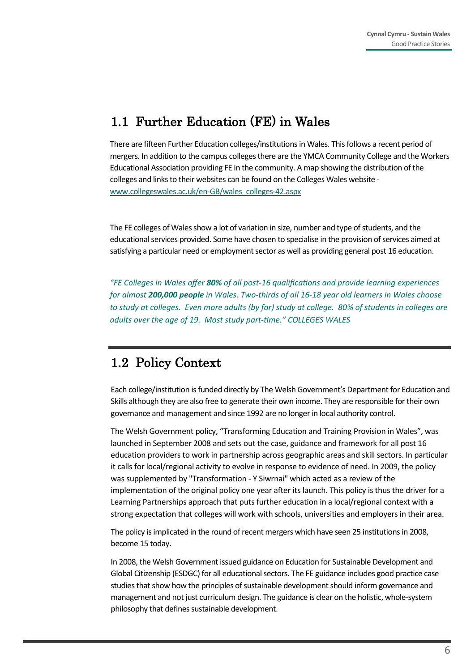### 1.1 Further Education (FE) in Wales

There are fifteen Further Education colleges/institutions in Wales. This follows a recent period of mergers. In addition to the campus colleges there are the YMCA Community College and the Workers Educational Association providing FE in the community. A map showing the distribution of the colleges and links to their websites can be found on the Colleges Wales website [www.collegeswales.ac.uk/en](http://www.collegeswales.ac.uk/en-GB/wales_colleges-42.aspx)-GB/wales\_colleges-42.aspx

The FE colleges of Wales show a lot of variation in size, number and type of students, and the educational services provided. Some have chosen to specialise in the provision of services aimed at satisfying a particular need or employment sector as well as providing general post 16 education.

*"FE Colleges in Wales offer 80% of all post-16 qualifications and provide learning experiences for almost 200,000 people in Wales. Two-thirds of all 16-18 year old learners in Wales choose to study at colleges. Even more adults (by far) study at college. 80% of students in colleges are adults over the age of 19. Most study part-time." COLLEGES WALES*

### 1.2 Policy Context

Each college/institution is funded directly by The Welsh Government's Department for Education and Skills although they are also free to generate their own income. They are responsible for their own governance and management and since 1992 are no longer in local authority control.

The Welsh Government policy, "Transforming Education and Training Provision in Wales", was launched in September 2008 and sets out the case, guidance and framework for all post 16 education providers to work in partnership across geographic areas and skill sectors. In particular it calls for local/regional activity to evolve in response to evidence of need. In 2009, the policy was supplemented by "Transformation - Y Siwrnai" which acted as a review of the implementation of the original policy one year after its launch. This policy is thus the driver for a Learning Partnerships approach that puts further education in a local/regional context with a strong expectation that colleges will work with schools, universities and employers in their area.

The policy is implicated in the round of recent mergers which have seen 25 institutions in 2008, become 15 today.

In 2008, the Welsh Government issued guidance on Education for Sustainable Development and Global Citizenship (ESDGC) for all educational sectors. The FE guidance includes good practice case studies that show how the principles of sustainable development should inform governance and management and not just curriculum design. The guidance is clear on the holistic, whole-system philosophy that defines sustainable development.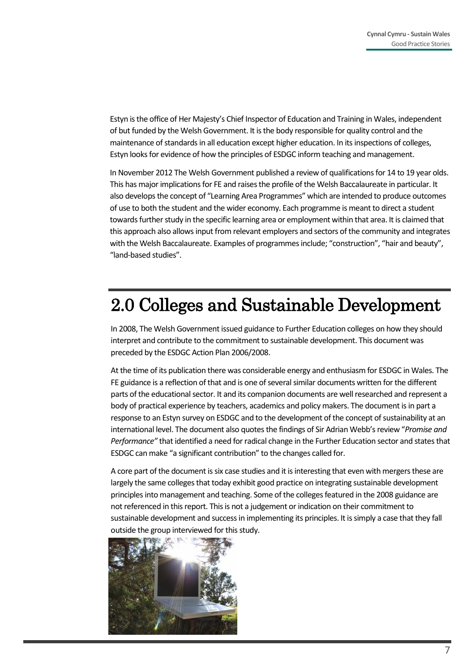Estyn is the office of Her Majesty's Chief Inspector of Education and Training in Wales, independent of but funded by the Welsh Government. It is the body responsible for quality control and the maintenance of standards in all education except higher education. In its inspections of colleges, Estyn looks for evidence of how the principles of ESDGC inform teaching and management.

In November 2012 The Welsh Government published a review of qualifications for 14 to 19 year olds. This has major implications for FE and raises the profile of the Welsh Baccalaureate in particular. It also develops the concept of "Learning Area Programmes" which are intended to produce outcomes of use to both the student and the wider economy. Each programme is meant to direct a student towards further study in the specific learning area or employment within that area. It is claimed that this approach also allows input from relevant employers and sectors of the community and integrates with the Welsh Baccalaureate. Examples of programmes include; "construction", "hair and beauty", "land-based studies".

# 2.0 Colleges and Sustainable Development

In 2008, The Welsh Government issued guidance to Further Education colleges on how they should interpret and contribute to the commitment to sustainable development. This document was preceded by the ESDGC Action Plan 2006/2008.

At the time of its publication there was considerable energy and enthusiasm for ESDGC in Wales. The FE guidance is a reflection of that and is one of several similar documents written for the different parts of the educational sector. It and its companion documents are well researched and represent a body of practical experience by teachers, academics and policy makers. The document is in part a response to an Estyn survey on ESDGC and to the development of the concept of sustainability at an international level. The document also quotes the findings of Sir Adrian Webb's review "*Promise and Performance"* that identified a need for radical change in the Further Education sector and states that ESDGC can make "a significant contribution" to the changes called for.

A core part of the document is six case studies and it is interesting that even with mergers these are largely the same colleges that today exhibit good practice on integrating sustainable development principles into management and teaching. Some of the colleges featured in the 2008 guidance are not referenced in this report. This is not a judgement or indication on their commitment to sustainable development and success in implementing its principles. It is simply a case that they fall outside the group interviewed for this study.

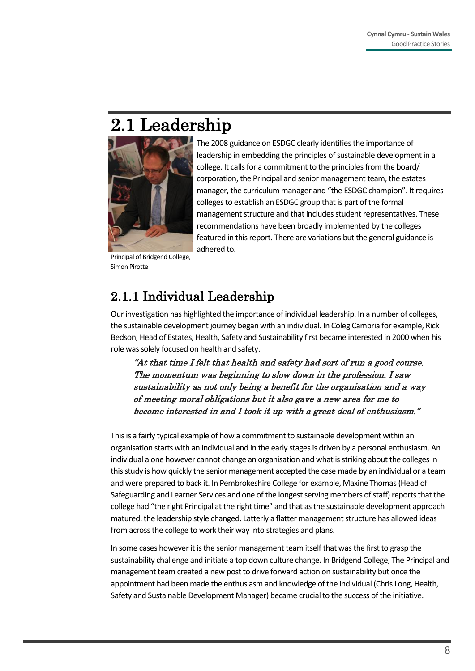# 2.1 Leadership



leadership in embedding the principles of sustainable development in a college. It calls for a commitment to the principles from the board/ corporation, the Principal and senior management team, the estates manager, the curriculum manager and "the ESDGC champion". It requires colleges to establish an ESDGC group that is part of the formal management structure and that includes student representatives. These recommendations have been broadly implemented by the colleges featured in this report. There are variations but the general guidance is adhered to.

Principal of Bridgend College, Simon Pirotte

### 2.1.1 Individual Leadership

Our investigation has highlighted the importance of individual leadership. In a number of colleges, the sustainable development journey began with an individual. In Coleg Cambria for example, Rick Bedson, Head of Estates, Health, Safety and Sustainability first became interested in 2000 when his role was solely focused on health and safety.

"At that time I felt that health and safety had sort of run a good course. The momentum was beginning to slow down in the profession. I saw sustainability as not only being a benefit for the organisation and a way of meeting moral obligations but it also gave a new area for me to become interested in and I took it up with a great deal of enthusiasm."

This is a fairly typical example of how a commitment to sustainable development within an organisation starts with an individual and in the early stages is driven by a personal enthusiasm. An individual alone however cannot change an organisation and what is striking about the colleges in this study is how quickly the senior management accepted the case made by an individual or a team and were prepared to back it. In Pembrokeshire College for example, Maxine Thomas (Head of Safeguarding and Learner Services and one of the longest serving members of staff) reports that the college had "the right Principal at the right time" and that as the sustainable development approach matured, the leadership style changed. Latterly a flatter management structure has allowed ideas from across the college to work their way into strategies and plans.

In some cases however it is the senior management team itself that was the first to grasp the sustainability challenge and initiate a top down culture change. In Bridgend College, The Principal and management team created a new post to drive forward action on sustainability but once the appointment had been made the enthusiasm and knowledge of the individual (Chris Long, Health, Safety and Sustainable Development Manager) became crucial to the success of the initiative.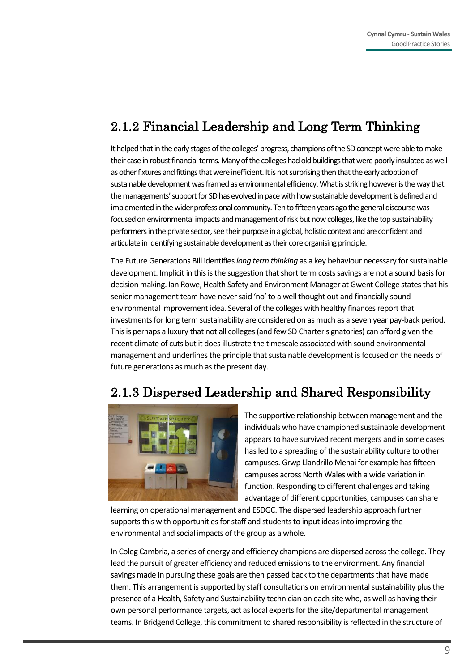### 2.1.2 Financial Leadership and Long Term Thinking

It helped that in the early stages of the colleges' progress, champions of the SD concept were able to make their case in robust financial terms. Many of the colleges had old buildings that were poorly insulated as well as other fixtures and fittings that were inefficient. It is not surprising then that the early adoption of sustainable development was framed as environmental efficiency. What is striking however is the way that the managements' support for SD has evolved in pace with how sustainable development is defined and implemented in the wider professional community. Ten to fifteen years ago the general discourse was focused on environmental impacts and management of risk but now colleges, like the top sustainability performers in the private sector, see their purpose in a global, holistic context and are confident and articulate in identifying sustainable development as their core organising principle.

The Future Generations Bill identifies *long term thinking* as a key behaviour necessary for sustainable development. Implicit in this is the suggestion that short term costs savings are not a sound basis for decision making. Ian Rowe, Health Safety and Environment Manager at Gwent College states that his senior management team have never said 'no' to a well thought out and financially sound environmental improvement idea. Several of the colleges with healthy finances report that investments for long term sustainability are considered on as much as a seven year pay-back period. This is perhaps a luxury that not all colleges (and few SD Charter signatories) can afford given the recent climate of cuts but it does illustrate the timescale associated with sound environmental management and underlines the principle that sustainable development is focused on the needs of future generations as much as the present day.

### 2.1.3 Dispersed Leadership and Shared Responsibility



The supportive relationship between management and the individuals who have championed sustainable development appears to have survived recent mergers and in some cases has led to a spreading of the sustainability culture to other campuses. Grwp Llandrillo Menai for example has fifteen campuses across North Wales with a wide variation in function. Responding to different challenges and taking advantage of different opportunities, campuses can share

learning on operational management and ESDGC. The dispersed leadership approach further supports this with opportunities for staff and students to input ideas into improving the environmental and social impacts of the group as a whole.

In Coleg Cambria, a series of energy and efficiency champions are dispersed across the college. They lead the pursuit of greater efficiency and reduced emissions to the environment. Any financial savings made in pursuing these goals are then passed back to the departments that have made them. This arrangement is supported by staff consultations on environmental sustainability plus the presence of a Health, Safety and Sustainability technician on each site who, as well as having their own personal performance targets, act as local experts for the site/departmental management teams. In Bridgend College, this commitment to shared responsibility is reflected in the structure of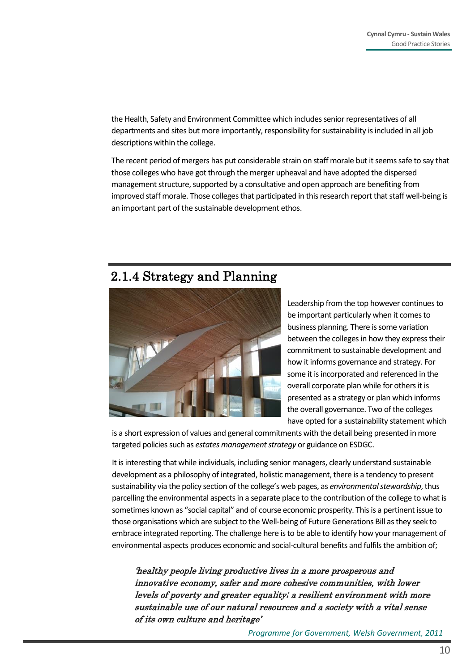the Health, Safety and Environment Committee which includes senior representatives of all departments and sites but more importantly, responsibility for sustainability is included in all job descriptions within the college.

The recent period of mergers has put considerable strain on staff morale but it seems safe to say that those colleges who have got through the merger upheaval and have adopted the dispersed management structure, supported by a consultative and open approach are benefiting from improved staff morale. Those colleges that participated in this research report that staff well-being is an important part of the sustainable development ethos.

#### 2.1.4 Strategy and Planning



Leadership from the top however continues to be important particularly when it comes to business planning. There is some variation between the colleges in how they express their commitment to sustainable development and how it informs governance and strategy. For some it is incorporated and referenced in the overall corporate plan while for others it is presented as a strategy or plan which informs the overall governance. Two of the colleges have opted for a sustainability statement which

is a short expression of values and general commitments with the detail being presented in more targeted policies such as *estates management strategy* or guidance on ESDGC.

It is interesting that while individuals, including senior managers, clearly understand sustainable development as a philosophy of integrated, holistic management, there is a tendency to present sustainability via the policy section of the college's web pages, as *environmental stewardship*, thus parcelling the environmental aspects in a separate place to the contribution of the college to what is sometimes known as "social capital" and of course economic prosperity. This is a pertinent issue to those organisations which are subject to the Well-being of Future Generations Bill as they seek to embrace integrated reporting. The challenge here is to be able to identify how your management of environmental aspects produces economic and social-cultural benefits and fulfils the ambition of;

'healthy people living productive lives in a more prosperous and innovative economy, safer and more cohesive communities, with lower levels of poverty and greater equality; a resilient environment with more sustainable use of our natural resources and a society with a vital sense of its own culture and heritage'

*Programme for Government, Welsh Government, 2011*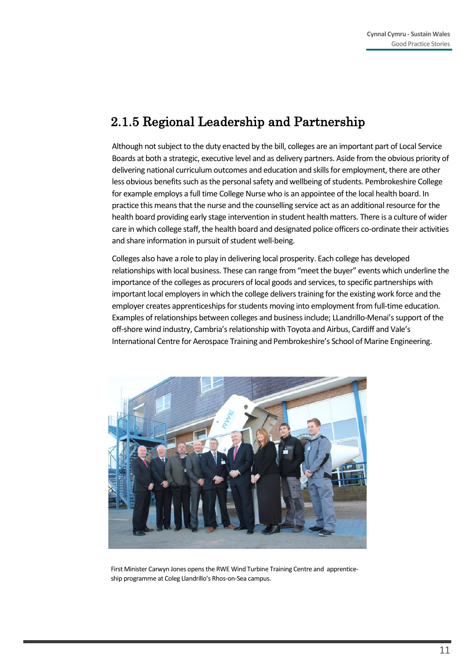### 2.1.5 Regional Leadership and Partnership

Although not subject to the duty enacted by the bill, colleges are an important part of Local Service Boards at both a strategic, executive level and as delivery partners. Aside from the obvious priority of delivering national curriculum outcomes and education and skills for employment, there are other less obvious benefits such as the personal safety and wellbeing of students. Pembrokeshire College for example employs a full time College Nurse who is an appointee of the local health board. In practice this means that the nurse and the counselling service act as an additional resource for the health board providing early stage intervention in student health matters. There is a culture of wider care in which college staff, the health board and designated police officers co-ordinate their activities and share information in pursuit of student well-being.

Colleges also have a role to play in delivering local prosperity. Each college has developed relationships with local business. These can range from "meet the buyer" events which underline the importance of the colleges as procurers of local goods and services, to specific partnerships with important local employers in which the college delivers training for the existing work force and the employer creates apprenticeships for students moving into employment from full-time education. Examples of relationships between colleges and business include; LLandrillo-Menai's support of the off-shore wind industry, Cambria's relationship with Toyota and Airbus, Cardiff and Vale's International Centre for Aerospace Training and Pembrokeshire's School of Marine Engineering.



First Minister Carwyn Jones opens the RWE Wind Turbine Training Centre and apprenticeship programme at Coleg Llandrillo's Rhos-on-Sea campus.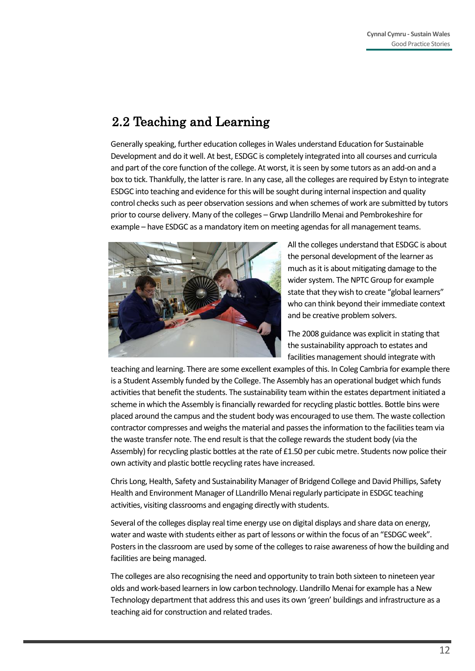### 2.2 Teaching and Learning

Generally speaking, further education colleges in Wales understand Education for Sustainable Development and do it well. At best, ESDGC is completely integrated into all courses and curricula and part of the core function of the college. At worst, it is seen by some tutors as an add-on and a box to tick. Thankfully, the latter is rare. In any case, all the colleges are required by Estyn to integrate ESDGC into teaching and evidence for this will be sought during internal inspection and quality control checks such as peer observation sessions and when schemes of work are submitted by tutors prior to course delivery. Many of the colleges – Grwp Llandrillo Menai and Pembrokeshire for example – have ESDGC as a mandatory item on meeting agendas for all management teams.



All the colleges understand that ESDGC is about the personal development of the learner as much as it is about mitigating damage to the wider system. The NPTC Group for example state that they wish to create "global learners" who can think beyond their immediate context and be creative problem solvers.

The 2008 guidance was explicit in stating that the sustainability approach to estates and facilities management should integrate with

teaching and learning. There are some excellent examples of this. In Coleg Cambria for example there is a Student Assembly funded by the College. The Assembly has an operational budget which funds activities that benefit the students. The sustainability team within the estates department initiated a scheme in which the Assembly is financially rewarded for recycling plastic bottles. Bottle bins were placed around the campus and the student body was encouraged to use them. The waste collection contractor compresses and weighs the material and passes the information to the facilities team via the waste transfer note. The end result is that the college rewards the student body (via the Assembly) for recycling plastic bottles at the rate of £1.50 per cubic metre. Students now police their own activity and plastic bottle recycling rates have increased.

Chris Long, Health, Safety and Sustainability Manager of Bridgend College and David Phillips, Safety Health and Environment Manager of LLandrillo Menai regularly participate in ESDGC teaching activities, visiting classrooms and engaging directly with students.

Several of the colleges display real time energy use on digital displays and share data on energy, water and waste with students either as part of lessons or within the focus of an "ESDGC week". Posters in the classroom are used by some of the colleges to raise awareness of how the building and facilities are being managed.

The colleges are also recognising the need and opportunity to train both sixteen to nineteen year olds and work-based learners in low carbon technology. Llandrillo Menai for example has a New Technology department that address this and uses its own 'green' buildings and infrastructure as a teaching aid for construction and related trades.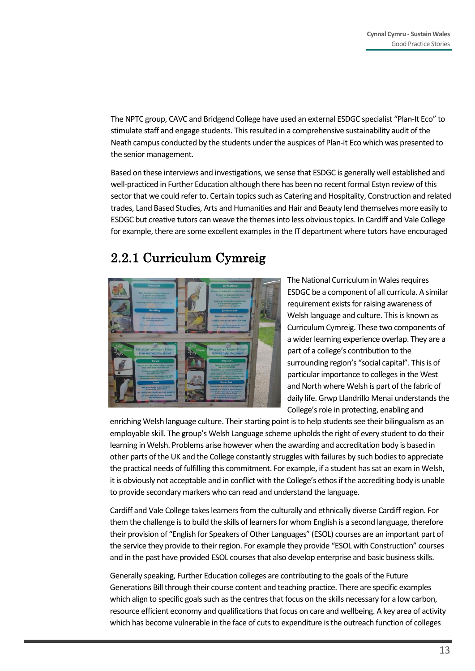The NPTC group, CAVC and Bridgend College have used an external ESDGC specialist "Plan-It Eco" to stimulate staff and engage students. This resulted in a comprehensive sustainability audit of the Neath campus conducted by the students under the auspices of Plan-it Eco which was presented to the senior management.

Based on these interviews and investigations, we sense that ESDGC is generally well established and well-practiced in Further Education although there has been no recent formal Estyn review of this sector that we could refer to. Certain topics such as Catering and Hospitality, Construction and related trades, Land Based Studies, Arts and Humanities and Hair and Beauty lend themselves more easily to ESDGC but creative tutors can weave the themes into less obvious topics. In Cardiff and Vale College for example, there are some excellent examples in the IT department where tutors have encouraged

### 2.2.1 Curriculum Cymreig



The National Curriculum in Wales requires ESDGC be a component of all curricula. A similar requirement exists for raising awareness of Welsh language and culture. This is known as Curriculum Cymreig. These two components of a wider learning experience overlap. They are a part of a college's contribution to the surrounding region's "social capital". This is of particular importance to colleges in the West and North where Welsh is part of the fabric of daily life. Grwp Llandrillo Menai understands the College's role in protecting, enabling and

enriching Welsh language culture. Their starting point is to help students see their bilingualism as an employable skill. The group's Welsh Language scheme upholds the right of every student to do their learning in Welsh. Problems arise however when the awarding and accreditation body is based in other parts of the UK and the College constantly struggles with failures by such bodies to appreciate the practical needs of fulfilling this commitment. For example, if a student has sat an exam in Welsh, it is obviously not acceptable and in conflict with the College's ethos if the accrediting body is unable to provide secondary markers who can read and understand the language.

Cardiff and Vale College takes learners from the culturally and ethnically diverse Cardiff region. For them the challenge is to build the skills of learners for whom English is a second language, therefore their provision of "English for Speakers of Other Languages" (ESOL) courses are an important part of the service they provide to their region. For example they provide "ESOL with Construction" courses and in the past have provided ESOL courses that also develop enterprise and basic business skills.

Generally speaking, Further Education colleges are contributing to the goals of the Future Generations Bill through their course content and teaching practice. There are specific examples which align to specific goals such as the centres that focus on the skills necessary for a low carbon, resource efficient economy and qualifications that focus on care and wellbeing. A key area of activity which has become vulnerable in the face of cuts to expenditure is the outreach function of colleges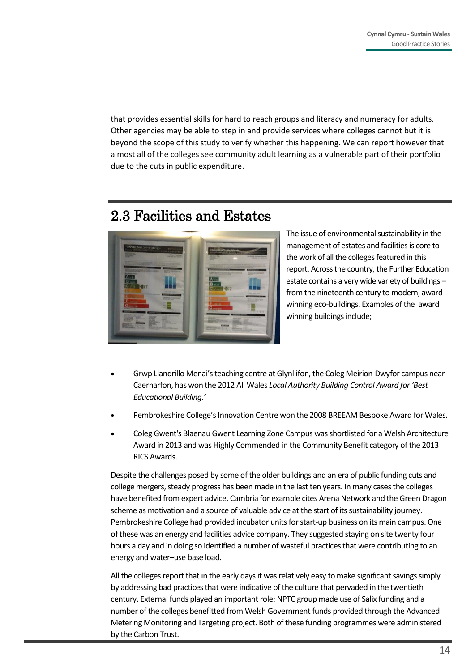that provides essential skills for hard to reach groups and literacy and numeracy for adults. Other agencies may be able to step in and provide services where colleges cannot but it is beyond the scope of this study to verify whether this happening. We can report however that almost all of the colleges see community adult learning as a vulnerable part of their portfolio due to the cuts in public expenditure.

### 2.3 Facilities and Estates



The issue of environmental sustainability in the management of estates and facilities is core to the work of all the colleges featured in this report. Across the country, the Further Education estate contains a very wide variety of buildings – from the nineteenth century to modern, award winning eco-buildings. Examples of the award winning buildings include;

- Grwp Llandrillo Menai's teaching centre at Glynllifon, the Coleg Meirion-Dwyfor campus near Caernarfon, has won the 2012 All Wales *Local Authority Building Control Award for 'Best Educational Building.'*
- Pembrokeshire College's Innovation Centre won the 2008 BREEAM Bespoke Award for Wales.
- Coleg Gwent's Blaenau Gwent Learning Zone Campus was shortlisted for a Welsh Architecture Award in 2013 and was Highly Commended in the Community Benefit category of the 2013 RICS Awards.

Despite the challenges posed by some of the older buildings and an era of public funding cuts and college mergers, steady progress has been made in the last ten years. In many cases the colleges have benefited from expert advice. Cambria for example cites Arena Network and the Green Dragon scheme as motivation and a source of valuable advice at the start of its sustainability journey. Pembrokeshire College had provided incubator units for start-up business on its main campus. One of these was an energy and facilities advice company. They suggested staying on site twenty four hours a day and in doing so identified a number of wasteful practices that were contributing to an energy and water–use base load.

All the colleges report that in the early days it was relatively easy to make significant savings simply by addressing bad practices that were indicative of the culture that pervaded in the twentieth century. External funds played an important role: NPTC group made use of Salix funding and a number of the colleges benefitted from Welsh Government funds provided through the Advanced Metering Monitoring and Targeting project. Both of these funding programmes were administered by the Carbon Trust.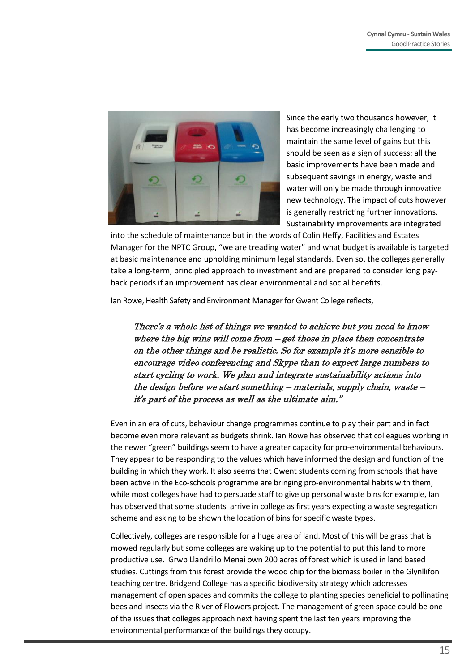

Since the early two thousands however, it has become increasingly challenging to maintain the same level of gains but this should be seen as a sign of success: all the basic improvements have been made and subsequent savings in energy, waste and water will only be made through innovative new technology. The impact of cuts however is generally restricting further innovations. Sustainability improvements are integrated

into the schedule of maintenance but in the words of Colin Heffy, Facilities and Estates Manager for the NPTC Group, "we are treading water" and what budget is available is targeted at basic maintenance and upholding minimum legal standards. Even so, the colleges generally take a long-term, principled approach to investment and are prepared to consider long payback periods if an improvement has clear environmental and social benefits.

Ian Rowe, Health Safety and Environment Manager for Gwent College reflects,

There's a whole list of things we wanted to achieve but you need to know where the big wins will come from  $-\text{get}$  those in place then concentrate on the other things and be realistic. So for example it's more sensible to encourage video conferencing and Skype than to expect large numbers to start cycling to work. We plan and integrate sustainability actions into the design before we start something – materials, supply chain, waste – it's part of the process as well as the ultimate aim."

Even in an era of cuts, behaviour change programmes continue to play their part and in fact become even more relevant as budgets shrink. Ian Rowe has observed that colleagues working in the newer "green" buildings seem to have a greater capacity for pro-environmental behaviours. They appear to be responding to the values which have informed the design and function of the building in which they work. It also seems that Gwent students coming from schools that have been active in the Eco-schools programme are bringing pro-environmental habits with them; while most colleges have had to persuade staff to give up personal waste bins for example, Ian has observed that some students arrive in college as first years expecting a waste segregation scheme and asking to be shown the location of bins for specific waste types.

Collectively, colleges are responsible for a huge area of land. Most of this will be grass that is mowed regularly but some colleges are waking up to the potential to put this land to more productive use. Grwp Llandrillo Menai own 200 acres of forest which is used in land based studies. Cuttings from this forest provide the wood chip for the biomass boiler in the Glynllifon teaching centre. Bridgend College has a specific biodiversity strategy which addresses management of open spaces and commits the college to planting species beneficial to pollinating bees and insects via the River of Flowers project. The management of green space could be one of the issues that colleges approach next having spent the last ten years improving the environmental performance of the buildings they occupy.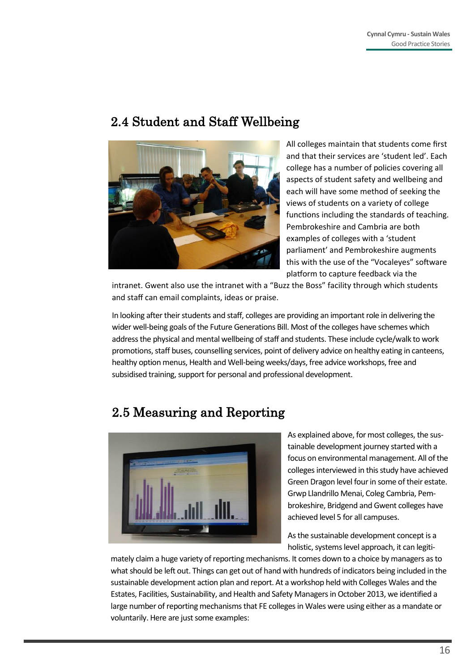#### 2.4 Student and Staff Wellbeing



All colleges maintain that students come first and that their services are 'student led'. Each college has a number of policies covering all aspects of student safety and wellbeing and each will have some method of seeking the views of students on a variety of college functions including the standards of teaching. Pembrokeshire and Cambria are both examples of colleges with a 'student parliament' and Pembrokeshire augments this with the use of the "Vocaleyes" software platform to capture feedback via the

intranet. Gwent also use the intranet with a "Buzz the Boss" facility through which students and staff can email complaints, ideas or praise.

In looking after their students and staff, colleges are providing an important role in delivering the wider well-being goals of the Future Generations Bill. Most of the colleges have schemes which address the physical and mental wellbeing of staff and students. These include cycle/walk to work promotions, staff buses, counselling services, point of delivery advice on healthy eating in canteens, healthy option menus, Health and Well-being weeks/days, free advice workshops, free and subsidised training, support for personal and professional development.

### 2.5 Measuring and Reporting



As explained above, for most colleges, the sustainable development journey started with a focus on environmental management. All of the colleges interviewed in this study have achieved Green Dragon level four in some of their estate. Grwp Llandrillo Menai, Coleg Cambria, Pembrokeshire, Bridgend and Gwent colleges have achieved level 5 for all campuses.

As the sustainable development concept is a holistic, systems level approach, it can legiti-

mately claim a huge variety of reporting mechanisms. It comes down to a choice by managers as to what should be left out. Things can get out of hand with hundreds of indicators being included in the sustainable development action plan and report. At a workshop held with Colleges Wales and the Estates, Facilities, Sustainability, and Health and Safety Managers in October 2013, we identified a large number of reporting mechanisms that FE colleges in Wales were using either as a mandate or voluntarily. Here are just some examples: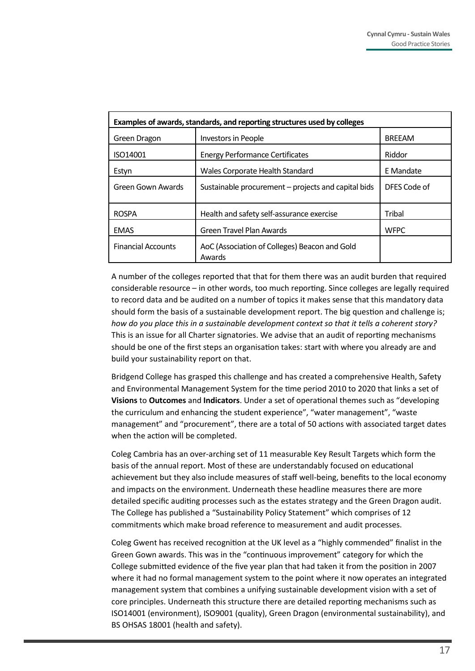| Examples of awards, standards, and reporting structures used by colleges |                                                         |               |  |
|--------------------------------------------------------------------------|---------------------------------------------------------|---------------|--|
| Green Dragon                                                             | Investors in People                                     | <b>BREEAM</b> |  |
| ISO14001                                                                 | <b>Energy Performance Certificates</b>                  | Riddor        |  |
| Estyn                                                                    | Wales Corporate Health Standard                         | E Mandate     |  |
| Green Gown Awards                                                        | Sustainable procurement - projects and capital bids     | DFES Code of  |  |
| <b>ROSPA</b>                                                             | Health and safety self-assurance exercise               | Tribal        |  |
| <b>EMAS</b>                                                              | <b>Green Travel Plan Awards</b>                         | <b>WFPC</b>   |  |
| <b>Financial Accounts</b>                                                | AoC (Association of Colleges) Beacon and Gold<br>Awards |               |  |

A number of the colleges reported that that for them there was an audit burden that required considerable resource – in other words, too much reporting. Since colleges are legally required to record data and be audited on a number of topics it makes sense that this mandatory data should form the basis of a sustainable development report. The big question and challenge is; *how do you place this in a sustainable development context so that it tells a coherent story?* This is an issue for all Charter signatories. We advise that an audit of reporting mechanisms should be one of the first steps an organisation takes: start with where you already are and build your sustainability report on that.

Bridgend College has grasped this challenge and has created a comprehensive Health, Safety and Environmental Management System for the time period 2010 to 2020 that links a set of **Visions** to **Outcomes** and **Indicators**. Under a set of operational themes such as "developing the curriculum and enhancing the student experience", "water management", "waste management" and "procurement", there are a total of 50 actions with associated target dates when the action will be completed.

Coleg Cambria has an over-arching set of 11 measurable Key Result Targets which form the basis of the annual report. Most of these are understandably focused on educational achievement but they also include measures of staff well-being, benefits to the local economy and impacts on the environment. Underneath these headline measures there are more detailed specific auditing processes such as the estates strategy and the Green Dragon audit. The College has published a "Sustainability Policy Statement" which comprises of 12 commitments which make broad reference to measurement and audit processes.

Coleg Gwent has received recognition at the UK level as a "highly commended" finalist in the Green Gown awards. This was in the "continuous improvement" category for which the College submitted evidence of the five year plan that had taken it from the position in 2007 where it had no formal management system to the point where it now operates an integrated management system that combines a unifying sustainable development vision with a set of core principles. Underneath this structure there are detailed reporting mechanisms such as ISO14001 (environment), ISO9001 (quality), Green Dragon (environmental sustainability), and BS OHSAS 18001 (health and safety).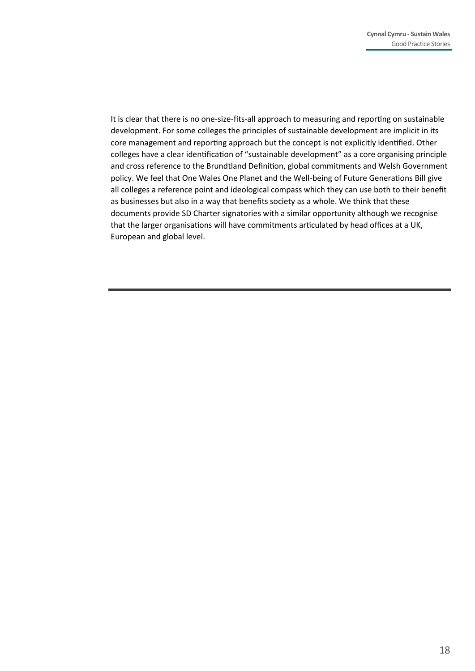It is clear that there is no one-size-fits-all approach to measuring and reporting on sustainable development. For some colleges the principles of sustainable development are implicit in its core management and reporting approach but the concept is not explicitly identified. Other colleges have a clear identification of "sustainable development" as a core organising principle and cross reference to the Brundtland Definition, global commitments and Welsh Government policy. We feel that One Wales One Planet and the Well-being of Future Generations Bill give all colleges a reference point and ideological compass which they can use both to their benefit as businesses but also in a way that benefits society as a whole. We think that these documents provide SD Charter signatories with a similar opportunity although we recognise that the larger organisations will have commitments articulated by head offices at a UK, European and global level.